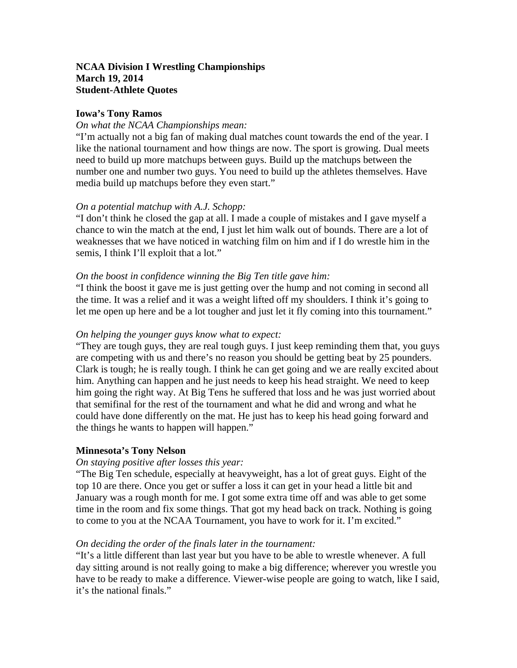## **NCAA Division I Wrestling Championships March 19, 2014 Student-Athlete Quotes**

## **Iowa's Tony Ramos**

#### *On what the NCAA Championships mean:*

"I'm actually not a big fan of making dual matches count towards the end of the year. I like the national tournament and how things are now. The sport is growing. Dual meets need to build up more matchups between guys. Build up the matchups between the number one and number two guys. You need to build up the athletes themselves. Have media build up matchups before they even start."

## *On a potential matchup with A.J. Schopp:*

"I don't think he closed the gap at all. I made a couple of mistakes and I gave myself a chance to win the match at the end, I just let him walk out of bounds. There are a lot of weaknesses that we have noticed in watching film on him and if I do wrestle him in the semis, I think I'll exploit that a lot."

#### *On the boost in confidence winning the Big Ten title gave him:*

"I think the boost it gave me is just getting over the hump and not coming in second all the time. It was a relief and it was a weight lifted off my shoulders. I think it's going to let me open up here and be a lot tougher and just let it fly coming into this tournament."

#### *On helping the younger guys know what to expect:*

"They are tough guys, they are real tough guys. I just keep reminding them that, you guys are competing with us and there's no reason you should be getting beat by 25 pounders. Clark is tough; he is really tough. I think he can get going and we are really excited about him. Anything can happen and he just needs to keep his head straight. We need to keep him going the right way. At Big Tens he suffered that loss and he was just worried about that semifinal for the rest of the tournament and what he did and wrong and what he could have done differently on the mat. He just has to keep his head going forward and the things he wants to happen will happen."

#### **Minnesota's Tony Nelson**

#### *On staying positive after losses this year:*

"The Big Ten schedule, especially at heavyweight, has a lot of great guys. Eight of the top 10 are there. Once you get or suffer a loss it can get in your head a little bit and January was a rough month for me. I got some extra time off and was able to get some time in the room and fix some things. That got my head back on track. Nothing is going to come to you at the NCAA Tournament, you have to work for it. I'm excited."

#### *On deciding the order of the finals later in the tournament:*

"It's a little different than last year but you have to be able to wrestle whenever. A full day sitting around is not really going to make a big difference; wherever you wrestle you have to be ready to make a difference. Viewer-wise people are going to watch, like I said, it's the national finals."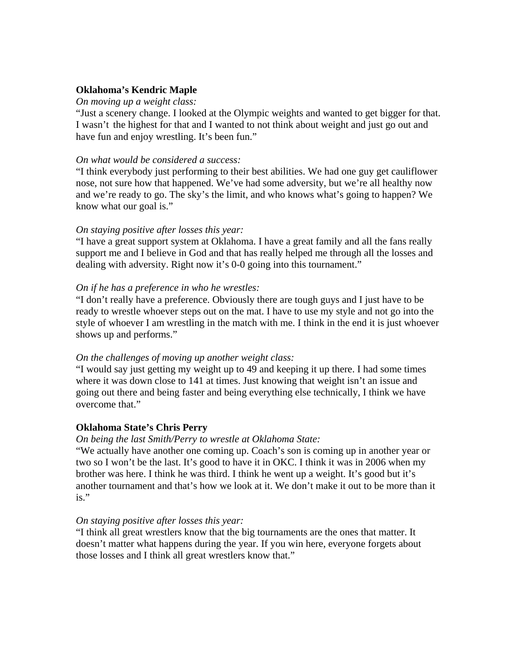## **Oklahoma's Kendric Maple**

#### *On moving up a weight class:*

"Just a scenery change. I looked at the Olympic weights and wanted to get bigger for that. I wasn't the highest for that and I wanted to not think about weight and just go out and have fun and enjoy wrestling. It's been fun."

#### *On what would be considered a success:*

"I think everybody just performing to their best abilities. We had one guy get cauliflower nose, not sure how that happened. We've had some adversity, but we're all healthy now and we're ready to go. The sky's the limit, and who knows what's going to happen? We know what our goal is."

## *On staying positive after losses this year:*

"I have a great support system at Oklahoma. I have a great family and all the fans really support me and I believe in God and that has really helped me through all the losses and dealing with adversity. Right now it's 0-0 going into this tournament."

## *On if he has a preference in who he wrestles:*

"I don't really have a preference. Obviously there are tough guys and I just have to be ready to wrestle whoever steps out on the mat. I have to use my style and not go into the style of whoever I am wrestling in the match with me. I think in the end it is just whoever shows up and performs."

## *On the challenges of moving up another weight class:*

"I would say just getting my weight up to 49 and keeping it up there. I had some times where it was down close to 141 at times. Just knowing that weight isn't an issue and going out there and being faster and being everything else technically, I think we have overcome that."

## **Oklahoma State's Chris Perry**

## *On being the last Smith/Perry to wrestle at Oklahoma State:*

"We actually have another one coming up. Coach's son is coming up in another year or two so I won't be the last. It's good to have it in OKC. I think it was in 2006 when my brother was here. I think he was third. I think he went up a weight. It's good but it's another tournament and that's how we look at it. We don't make it out to be more than it is."

#### *On staying positive after losses this year:*

"I think all great wrestlers know that the big tournaments are the ones that matter. It doesn't matter what happens during the year. If you win here, everyone forgets about those losses and I think all great wrestlers know that."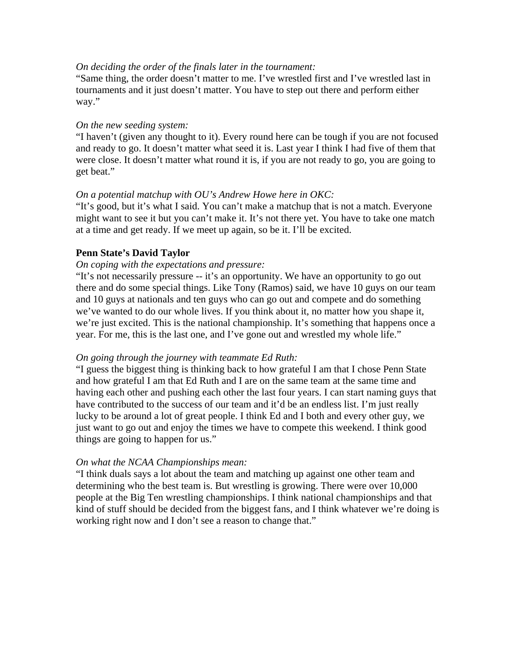## *On deciding the order of the finals later in the tournament:*

"Same thing, the order doesn't matter to me. I've wrestled first and I've wrestled last in tournaments and it just doesn't matter. You have to step out there and perform either way."

#### *On the new seeding system:*

"I haven't (given any thought to it). Every round here can be tough if you are not focused and ready to go. It doesn't matter what seed it is. Last year I think I had five of them that were close. It doesn't matter what round it is, if you are not ready to go, you are going to get beat."

## *On a potential matchup with OU's Andrew Howe here in OKC:*

"It's good, but it's what I said. You can't make a matchup that is not a match. Everyone might want to see it but you can't make it. It's not there yet. You have to take one match at a time and get ready. If we meet up again, so be it. I'll be excited.

## **Penn State's David Taylor**

#### *On coping with the expectations and pressure:*

"It's not necessarily pressure -- it's an opportunity. We have an opportunity to go out there and do some special things. Like Tony (Ramos) said, we have 10 guys on our team and 10 guys at nationals and ten guys who can go out and compete and do something we've wanted to do our whole lives. If you think about it, no matter how you shape it, we're just excited. This is the national championship. It's something that happens once a year. For me, this is the last one, and I've gone out and wrestled my whole life."

## *On going through the journey with teammate Ed Ruth:*

"I guess the biggest thing is thinking back to how grateful I am that I chose Penn State and how grateful I am that Ed Ruth and I are on the same team at the same time and having each other and pushing each other the last four years. I can start naming guys that have contributed to the success of our team and it'd be an endless list. I'm just really lucky to be around a lot of great people. I think Ed and I both and every other guy, we just want to go out and enjoy the times we have to compete this weekend. I think good things are going to happen for us."

#### *On what the NCAA Championships mean:*

"I think duals says a lot about the team and matching up against one other team and determining who the best team is. But wrestling is growing. There were over 10,000 people at the Big Ten wrestling championships. I think national championships and that kind of stuff should be decided from the biggest fans, and I think whatever we're doing is working right now and I don't see a reason to change that."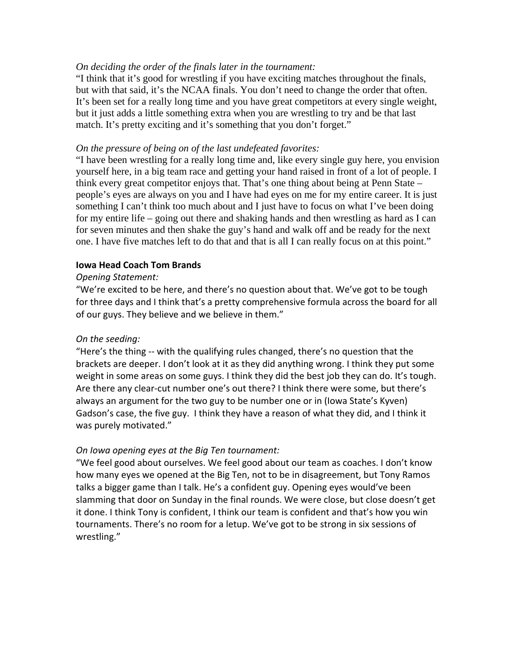## *On deciding the order of the finals later in the tournament:*

"I think that it's good for wrestling if you have exciting matches throughout the finals, but with that said, it's the NCAA finals. You don't need to change the order that often. It's been set for a really long time and you have great competitors at every single weight, but it just adds a little something extra when you are wrestling to try and be that last match. It's pretty exciting and it's something that you don't forget."

## *On the pressure of being on of the last undefeated favorites:*

"I have been wrestling for a really long time and, like every single guy here, you envision yourself here, in a big team race and getting your hand raised in front of a lot of people. I think every great competitor enjoys that. That's one thing about being at Penn State – people's eyes are always on you and I have had eyes on me for my entire career. It is just something I can't think too much about and I just have to focus on what I've been doing for my entire life – going out there and shaking hands and then wrestling as hard as I can for seven minutes and then shake the guy's hand and walk off and be ready for the next one. I have five matches left to do that and that is all I can really focus on at this point."

## **Iowa Head Coach Tom Brands**

## *Opening Statement:*

"We're excited to be here, and there's no question about that. We've got to be tough for three days and I think that's a pretty comprehensive formula across the board for all of our guys. They believe and we believe in them."

## *On the seeding:*

"Here's the thing ‐‐ with the qualifying rules changed, there's no question that the brackets are deeper. I don't look at it as they did anything wrong. I think they put some weight in some areas on some guys. I think they did the best job they can do. It's tough. Are there any clear-cut number one's out there? I think there were some, but there's always an argument for the two guy to be number one or in (Iowa State's Kyven) Gadson's case, the five guy. I think they have a reason of what they did, and I think it was purely motivated."

# *On Iowa opening eyes at the Big Ten tournament:*

"We feel good about ourselves. We feel good about our team as coaches. I don't know how many eyes we opened at the Big Ten, not to be in disagreement, but Tony Ramos talks a bigger game than I talk. He's a confident guy. Opening eyes would've been slamming that door on Sunday in the final rounds. We were close, but close doesn't get it done. I think Tony is confident, I think our team is confident and that's how you win tournaments. There's no room for a letup. We've got to be strong in six sessions of wrestling."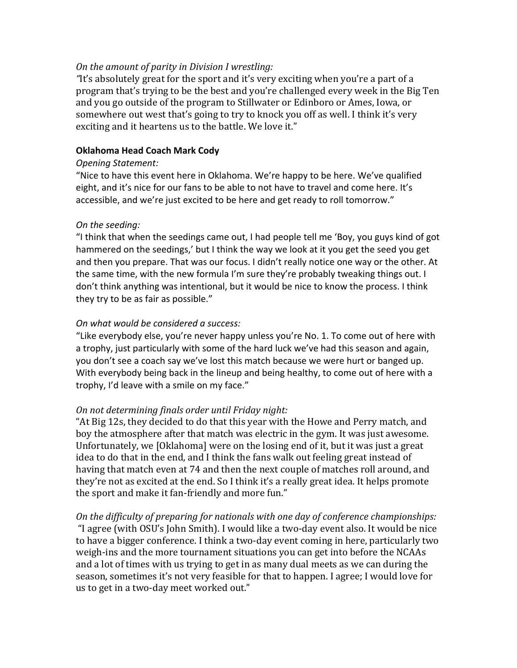## *On the amount of parity in Division I wrestling:*

"It's absolutely great for the sport and it's very exciting when you're a part of a program that's trying to be the best and you're challenged every week in the Big Ten and you go outside of the program to Stillwater or Edinboro or Ames, Iowa, or somewhere out west that's going to try to knock you off as well. I think it's very exciting and it heartens us to the battle. We love it."

## **Oklahoma Head Coach Mark Cody**

## *Opening Statement:*

"Nice to have this event here in Oklahoma. We're happy to be here. We've qualified eight, and it's nice for our fans to be able to not have to travel and come here. It's accessible, and we're just excited to be here and get ready to roll tomorrow."

## *On the seeding:*

"I think that when the seedings came out, I had people tell me 'Boy, you guys kind of got hammered on the seedings,' but I think the way we look at it you get the seed you get and then you prepare. That was our focus. I didn't really notice one way or the other. At the same time, with the new formula I'm sure they're probably tweaking things out. I don't think anything was intentional, but it would be nice to know the process. I think they try to be as fair as possible."

## *On what would be considered a success:*

"Like everybody else, you're never happy unless you're No. 1. To come out of here with a trophy, just particularly with some of the hard luck we've had this season and again, you don't see a coach say we've lost this match because we were hurt or banged up. With everybody being back in the lineup and being healthy, to come out of here with a trophy, I'd leave with a smile on my face."

# *On not determining finals order until Friday night:*

"At Big 12s, they decided to do that this year with the Howe and Perry match, and boy the atmosphere after that match was electric in the gym. It was just awesome. Unfortunately, we [Oklahoma] were on the losing end of it, but it was just a great idea to do that in the end, and I think the fans walk out feeling great instead of having that match even at 74 and then the next couple of matches roll around, and they're not as excited at the end. So I think it's a really great idea. It helps promote the sport and make it fan-friendly and more fun."

*On the difficulty of preparing for nationals with one day of conference championships:* "I agree (with OSU's John Smith). I would like a two-day event also. It would be nice to have a bigger conference. I think a two-day event coming in here, particularly two weigh-ins and the more tournament situations you can get into before the NCAAs and a lot of times with us trying to get in as many dual meets as we can during the season, sometimes it's not very feasible for that to happen. I agree; I would love for us to get in a two-day meet worked out."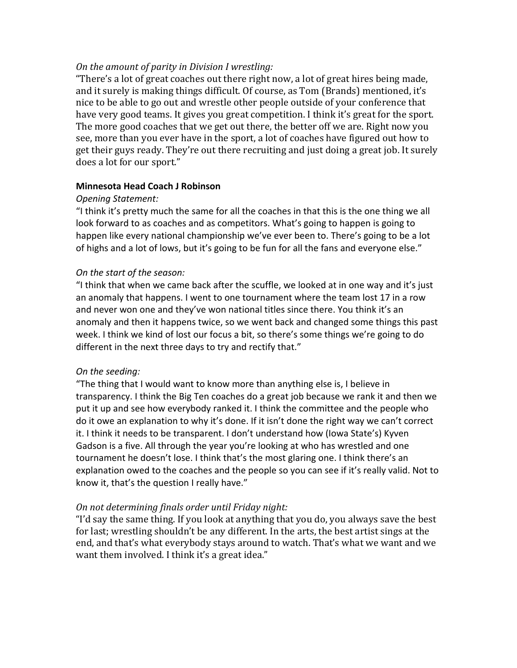## *On the amount of parity in Division I wrestling:*

"There's a lot of great coaches out there right now, a lot of great hires being made, and it surely is making things difficult. Of course, as Tom (Brands) mentioned, it's nice to be able to go out and wrestle other people outside of your conference that have very good teams. It gives you great competition. I think it's great for the sport. The more good coaches that we get out there, the better off we are. Right now you see, more than you ever have in the sport, a lot of coaches have figured out how to get their guys ready. They're out there recruiting and just doing a great job. It surely does a lot for our sport."

## **Minnesota Head Coach J Robinson**

## *Opening Statement:*

"I think it's pretty much the same for all the coaches in that this is the one thing we all look forward to as coaches and as competitors. What's going to happen is going to happen like every national championship we've ever been to. There's going to be a lot of highs and a lot of lows, but it's going to be fun for all the fans and everyone else."

## *On the start of the season:*

"I think that when we came back after the scuffle, we looked at in one way and it's just an anomaly that happens. I went to one tournament where the team lost 17 in a row and never won one and they've won national titles since there. You think it's an anomaly and then it happens twice, so we went back and changed some things this past week. I think we kind of lost our focus a bit, so there's some things we're going to do different in the next three days to try and rectify that."

# *On the seeding:*

"The thing that I would want to know more than anything else is, I believe in transparency. I think the Big Ten coaches do a great job because we rank it and then we put it up and see how everybody ranked it. I think the committee and the people who do it owe an explanation to why it's done. If it isn't done the right way we can't correct it. I think it needs to be transparent. I don't understand how (Iowa State's) Kyven Gadson is a five. All through the year you're looking at who has wrestled and one tournament he doesn't lose. I think that's the most glaring one. I think there's an explanation owed to the coaches and the people so you can see if it's really valid. Not to know it, that's the question I really have."

# *On not determining finals order until Friday night:*

"I'd say the same thing. If you look at anything that you do, you always save the best for last; wrestling shouldn't be any different. In the arts, the best artist sings at the end, and that's what everybody stays around to watch. That's what we want and we want them involved. I think it's a great idea."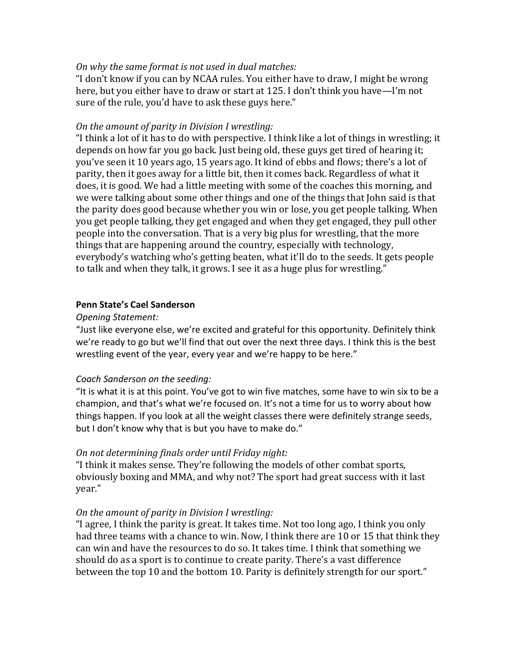## *On why the same format is not used in dual matches:*

"I don't know if you can by NCAA rules. You either have to draw, I might be wrong here, but you either have to draw or start at 125. I don't think you have—I'm not sure of the rule, you'd have to ask these guys here."

## *On the amount of parity in Division I wrestling:*

"I think a lot of it has to do with perspective. I think like a lot of things in wrestling; it depends on how far you go back. Just being old, these guys get tired of hearing it; you've seen it 10 years ago, 15 years ago. It kind of ebbs and flows; there's a lot of parity, then it goes away for a little bit, then it comes back. Regardless of what it does, it is good. We had a little meeting with some of the coaches this morning, and we were talking about some other things and one of the things that John said is that the parity does good because whether you win or lose, you get people talking. When you get people talking, they get engaged and when they get engaged, they pull other people into the conversation. That is a very big plus for wrestling, that the more things that are happening around the country, especially with technology, everybody's watching who's getting beaten, what it'll do to the seeds. It gets people to talk and when they talk, it grows. I see it as a huge plus for wrestling."

## **Penn State's Cael Sanderson**

## *Opening Statement:*

"Just like everyone else, we're excited and grateful for this opportunity. Definitely think we're ready to go but we'll find that out over the next three days. I think this is the best wrestling event of the year, every year and we're happy to be here."

## *Coach Sanderson on the seeding:*

"It is what it is at this point. You've got to win five matches, some have to win six to be a champion, and that's what we're focused on. It's not a time for us to worry about how things happen. If you look at all the weight classes there were definitely strange seeds, but I don't know why that is but you have to make do."

## *On not determining finals order until Friday night:*

"I think it makes sense. They're following the models of other combat sports, obviously boxing and MMA, and why not? The sport had great success with it last year." 

## *On the amount of parity in Division I wrestling:*

"I agree, I think the parity is great. It takes time. Not too long ago, I think you only had three teams with a chance to win. Now, I think there are 10 or 15 that think they can win and have the resources to do so. It takes time. I think that something we should do as a sport is to continue to create parity. There's a vast difference between the top 10 and the bottom 10. Parity is definitely strength for our sport."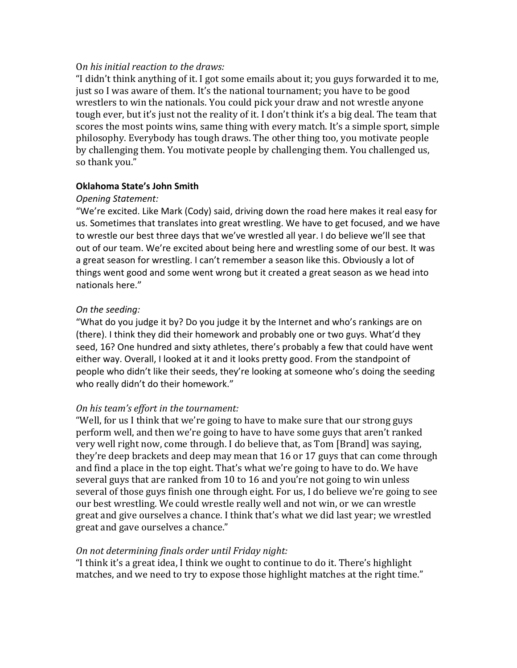## O*n his initial reaction to the draws:*

"I didn't think anything of it. I got some emails about it; you guys forwarded it to me, just so I was aware of them. It's the national tournament; you have to be good wrestlers to win the nationals. You could pick your draw and not wrestle anyone tough ever, but it's just not the reality of it. I don't think it's a big deal. The team that scores the most points wins, same thing with every match. It's a simple sport, simple philosophy. Everybody has tough draws. The other thing too, you motivate people by challenging them. You motivate people by challenging them. You challenged us, so thank you."

## **Oklahoma State's John Smith**

## *Opening Statement:*

"We're excited. Like Mark (Cody) said, driving down the road here makes it real easy for us. Sometimes that translates into great wrestling. We have to get focused, and we have to wrestle our best three days that we've wrestled all year. I do believe we'll see that out of our team. We're excited about being here and wrestling some of our best. It was a great season for wrestling. I can't remember a season like this. Obviously a lot of things went good and some went wrong but it created a great season as we head into nationals here."

## *On the seeding:*

"What do you judge it by? Do you judge it by the Internet and who's rankings are on (there). I think they did their homework and probably one or two guys. What'd they seed, 16? One hundred and sixty athletes, there's probably a few that could have went either way. Overall, I looked at it and it looks pretty good. From the standpoint of people who didn't like their seeds, they're looking at someone who's doing the seeding who really didn't do their homework."

# *On his team's effort in the tournament:*

"Well, for us I think that we're going to have to make sure that our strong guys perform well, and then we're going to have to have some guys that aren't ranked very well right now, come through. I do believe that, as Tom [Brand] was saying, they're deep brackets and deep may mean that 16 or 17 guys that can come through and find a place in the top eight. That's what we're going to have to do. We have several guys that are ranked from 10 to 16 and you're not going to win unless several of those guys finish one through eight. For us, I do believe we're going to see our best wrestling. We could wrestle really well and not win, or we can wrestle great and give ourselves a chance. I think that's what we did last year; we wrestled great and gave ourselves a chance."

# *On not determining finals order until Friday night:*

"I think it's a great idea, I think we ought to continue to do it. There's highlight matches, and we need to try to expose those highlight matches at the right time."